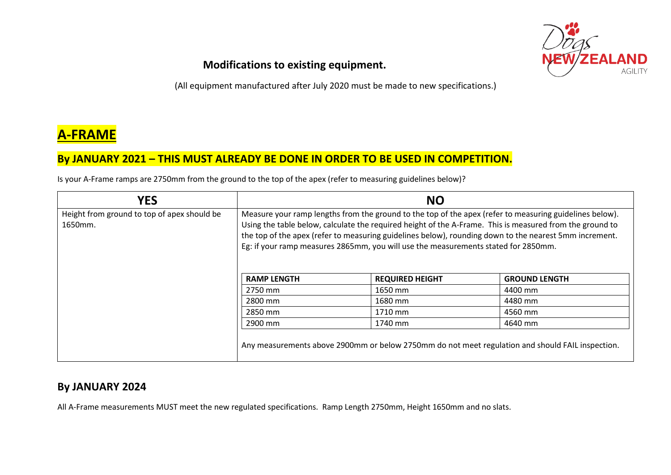

#### **Modifications to existing equipment.**

(All equipment manufactured after July 2020 must be made to new specifications.)

# **A-FRAME**

### **By JANUARY 2021 – THIS MUST ALREADY BE DONE IN ORDER TO BE USED IN COMPETITION.**

Is your A-Frame ramps are 2750mm from the ground to the top of the apex (refer to measuring guidelines below)?

| <b>YES</b>                                             | <b>NO</b>                                                                                                                                                                                                                                                                                                                                                                                                           |                                                                                                  |                      |
|--------------------------------------------------------|---------------------------------------------------------------------------------------------------------------------------------------------------------------------------------------------------------------------------------------------------------------------------------------------------------------------------------------------------------------------------------------------------------------------|--------------------------------------------------------------------------------------------------|----------------------|
| Height from ground to top of apex should be<br>1650mm. | Measure your ramp lengths from the ground to the top of the apex (refer to measuring guidelines below).<br>Using the table below, calculate the required height of the A-Frame. This is measured from the ground to<br>the top of the apex (refer to measuring guidelines below), rounding down to the nearest 5mm increment.<br>Eg: if your ramp measures 2865mm, you will use the measurements stated for 2850mm. |                                                                                                  |                      |
|                                                        | <b>RAMP LENGTH</b>                                                                                                                                                                                                                                                                                                                                                                                                  | <b>REQUIRED HEIGHT</b>                                                                           | <b>GROUND LENGTH</b> |
|                                                        | 2750 mm                                                                                                                                                                                                                                                                                                                                                                                                             | 1650 mm                                                                                          | 4400 mm              |
|                                                        | 2800 mm                                                                                                                                                                                                                                                                                                                                                                                                             | 1680 mm                                                                                          | 4480 mm              |
|                                                        | 2850 mm                                                                                                                                                                                                                                                                                                                                                                                                             | 1710 mm                                                                                          | 4560 mm              |
|                                                        | 2900 mm                                                                                                                                                                                                                                                                                                                                                                                                             | 1740 mm                                                                                          | 4640 mm              |
|                                                        |                                                                                                                                                                                                                                                                                                                                                                                                                     | Any measurements above 2900mm or below 2750mm do not meet regulation and should FAIL inspection. |                      |

#### **By JANUARY 2024**

All A-Frame measurements MUST meet the new regulated specifications. Ramp Length 2750mm, Height 1650mm and no slats.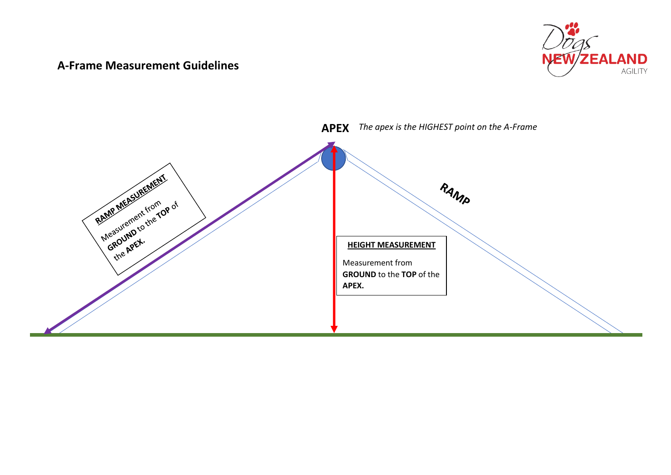#### **A-Frame Measurement Guidelines**



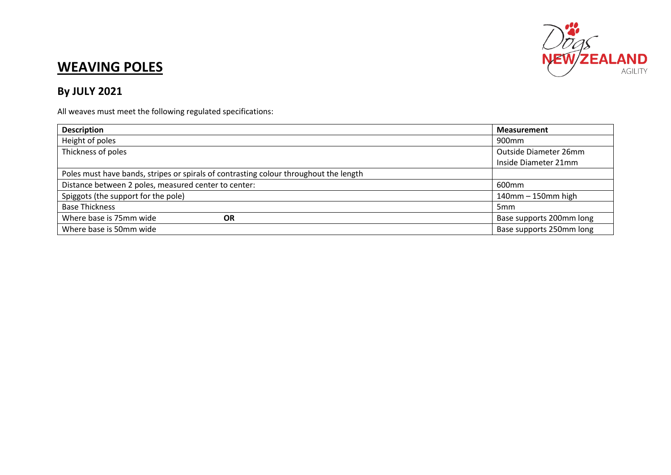

## **WEAVING POLES**

## **By JULY 2021**

All weaves must meet the following regulated specifications:

| <b>Description</b>                                                                    | <b>Measurement</b>       |
|---------------------------------------------------------------------------------------|--------------------------|
| Height of poles                                                                       | 900 <sub>mm</sub>        |
| Thickness of poles                                                                    | Outside Diameter 26mm    |
|                                                                                       | Inside Diameter 21mm     |
| Poles must have bands, stripes or spirals of contrasting colour throughout the length |                          |
| Distance between 2 poles, measured center to center:                                  | 600 <sub>mm</sub>        |
| Spiggots (the support for the pole)                                                   | $140$ mm $-150$ mm high  |
| <b>Base Thickness</b>                                                                 | 5 <sub>mm</sub>          |
| Where base is 75mm wide<br><b>OR</b>                                                  | Base supports 200mm long |
| Where base is 50mm wide                                                               | Base supports 250mm long |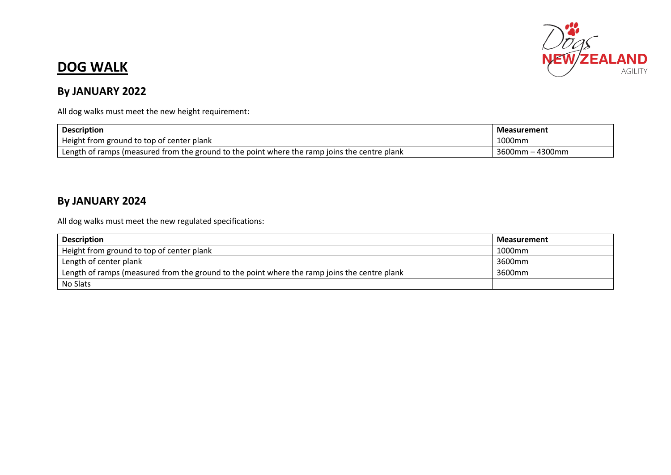

## **DOG WALK**

## **By JANUARY 2022**

All dog walks must meet the new height requirement:

| <b>Description</b>                                                                           | <b>Measurement</b>   |
|----------------------------------------------------------------------------------------------|----------------------|
| Height from ground to top of center plank                                                    | 1000mm               |
| Length of ramps (measured from the ground to the point where the ramp joins the centre plank | า – 4300mm<br>3600mm |

## **By JANUARY 2024**

All dog walks must meet the new regulated specifications:

| <b>Description</b>                                                                           | <b>Measurement</b> |
|----------------------------------------------------------------------------------------------|--------------------|
| Height from ground to top of center plank                                                    | 1000mm             |
| Length of center plank                                                                       | 3600mm             |
| Length of ramps (measured from the ground to the point where the ramp joins the centre plank | 3600mm             |
| No Slats                                                                                     |                    |